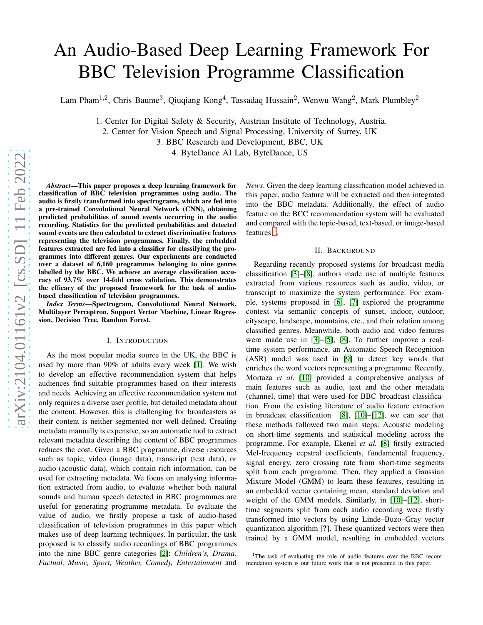# An Audio-Based Deep Learning Framework For BBC Television Programme Classification

Lam Pham<sup>1,2</sup>, Chris Baume<sup>3</sup>, Qiuqiang Kong<sup>4</sup>, Tassadaq Hussain<sup>2</sup>, Wenwu Wang<sup>2</sup>, Mark Plumbley<sup>2</sup>

1. Center for Digital Safety & Security, Austrian Institute of Technology, Austria.

2. Center for Vision Speech and Signal Processing, University of Surrey, UK

3. BBC Research and Development, BBC, UK

4. ByteDance AI Lab, ByteDance, US

*Abstract*—This paper proposes a deep learning framework for classification of BBC television programmes using audio. The audio is firstly transformed into spectrograms, which are fed into a pre-trained Convolutional Neural Network (CNN), obtaining predicted probabilities of sound events occurring in the audio recording. Statistics for the predicted probabilities and detected sound events are then calculated to extract discriminative features representing the television programmes. Finally, the embedded features extracted are fed into a classifier for classifying the programmes into different genres. Our experiments are conducted over a dataset of 6,160 programmes belonging to nine genres labelled by the BBC. We achieve an average classification accuracy of 93.7% over 14-fold cross validation. This demonstrates the efficacy of the proposed framework for the task of audiobased classification of television programmes.

*Index Terms*—Spectrogram, Convolutional Neural Network, Multilayer Perceptron, Support Vector Machine, Linear Regression, Decision Tree, Random Forest.

#### I. INTRODUCTION

As the most popular media source in the UK, the BBC is used by more than 90% of adults every week [\[1\]](#page-4-0). We wish to develop an effective recommendation system that helps audiences find suitable programmes based on their interests and needs. Achieving an effective recommendation system not only requires a diverse user profile, but detailed metadata about the content. However, this is challenging for broadcasters as their content is neither segmented nor well-defined. Creating metadata manually is expensive, so an automatic tool to extract relevant metadata describing the content of BBC programmes reduces the cost. Given a BBC programme, diverse resources such as topic, video (image data), transcript (text data), or audio (acoustic data), which contain rich information, can be used for extracting metadata. We focus on analysing information extracted from audio, to evaluate whether both natural sounds and human speech detected in BBC programmes are useful for generating programme metadata. To evaluate the value of audio, we firstly propose a task of audio-based classification of television programmes in this paper which makes use of deep learning techniques. In particular, the task proposed is to classify audio recordings of BBC programmes into the nine BBC genre categories [\[2\]](#page-4-1): *Children's, Drama, Factual, Music, Sport, Weather, Comedy, Entertainment* and *News*. Given the deep learning classification model achieved in this paper, audio feature will be extracted and then integrated into the BBC metadata. Additionally, the effect of audio feature on the BCC recommendation system will be evaluated and compared with the topic-based, text-based, or image-based features  $<sup>1</sup>$  $<sup>1</sup>$  $<sup>1</sup>$ .</sup>

## II. BACKGROUND

Regarding recently proposed systems for broadcast media classification [\[3\]](#page-4-2)–[\[8\]](#page-4-3), authors made use of multiple features extracted from various resources such as audio, video, or transcript to maximize the system performance. For example, systems proposed in [\[6\]](#page-4-4), [\[7\]](#page-4-5) explored the programme context via semantic concepts of sunset, indoor, outdoor, cityscape, landscape, mountains, etc., and their relation among classified genres. Meanwhile, both audio and video features were made use in [\[3\]](#page-4-2)–[\[5\]](#page-4-6), [\[8\]](#page-4-3). To further improve a realtime system performance, an Automatic Speech Recognition (ASR) model was used in [\[9\]](#page-4-7) to detect key words that enriches the word vectors representing a programme. Recently, Mortaza *et al.* [\[10\]](#page-4-8) provided a comprehensive analysis of main features such as audio, text and the other metadata (channel, time) that were used for BBC broadcast classification. From the existing literature of audio feature extraction in broadcast classification [\[8\]](#page-4-3), [\[10\]](#page-4-8)–[\[12\]](#page-4-9), we can see that these methods followed two main steps: Acoustic modeling on short-time segments and statistical modeling across the programme. For example, Ekenel *et al.* [\[8\]](#page-4-3) firstly extracted Mel-frequency cepstral coefficients, fundamental frequency, signal energy, zero crossing rate from short-time segments split from each programme. Then, they applied a Gaussian Mixture Model (GMM) to learn these features, resulting in an embedded vector containing mean, standard deviation and weight of the GMM models. Similarly, in [\[10\]](#page-4-8)–[\[12\]](#page-4-9), shorttime segments split from each audio recording were firstly transformed into vectors by using Linde–Buzo–Gray vector quantization algorithm [?]. These quantized vectors were then trained by a GMM model, resulting in embedded vectors

<span id="page-0-0"></span><sup>&</sup>lt;sup>1</sup>The task of evaluating the role of audio features over the BBC recommendation system is our future work that is not presented in this paper.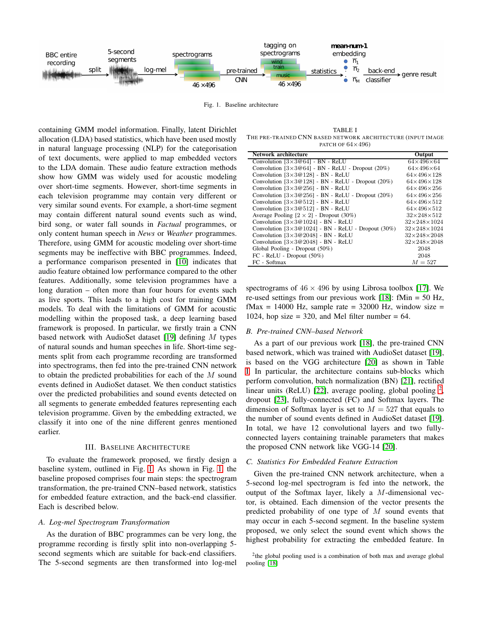

<span id="page-1-0"></span>Fig. 1. Baseline architecture

containing GMM model information. Finally, latent Dirichlet allocation (LDA) based statistics, which have been used mostly in natural language processing (NLP) for the categorisation of text documents, were applied to map embedded vectors to the LDA domain. These audio feature extraction methods show how GMM was widely used for acoustic modeling over short-time segments. However, short-time segments in each television programme may contain very different or very similar sound events. For example, a short-time segment may contain different natural sound events such as wind, bird song, or water fall sounds in *Factual* programmes, or only content human speech in *News* or *Weather* programmes. Therefore, using GMM for acoustic modeling over short-time segments may be ineffective with BBC programmes. Indeed, a performance comparison presented in [\[10\]](#page-4-8) indicates that audio feature obtained low performance compared to the other features. Additionally, some television programmes have a long duration – often more than four hours for events such as live sports. This leads to a high cost for training GMM models. To deal with the limitations of GMM for acoustic modelling within the proposed task, a deep learning based framework is proposed. In particular, we firstly train a CNN based network with AudioSet dataset [\[19\]](#page-4-10) defining M types of natural sounds and human speeches in life. Short-time segments split from each programme recording are transformed into spectrograms, then fed into the pre-trained CNN network to obtain the predicted probabilities for each of the  $M$  sound events defined in AudioSet dataset. We then conduct statistics over the predicted probabilities and sound events detected on all segments to generate embedded features representing each television programme. Given by the embedding extracted, we classify it into one of the nine different genres mentioned earlier.

## III. BASELINE ARCHITECTURE

<span id="page-1-3"></span>To evaluate the framework proposed, we firstly design a baseline system, outlined in Fig. [1.](#page-1-0) As shown in Fig. [1,](#page-1-0) the baseline proposed comprises four main steps: the spectrogram transformation, the pre-trained CNN–based network, statistics for embedded feature extraction, and the back-end classifier. Each is described below.

#### *A. Log-mel Spectrogram Transformation*

As the duration of BBC programmes can be very long, the programme recording is firstly split into non-overlapping 5 second segments which are suitable for back-end classifiers. The 5-second segments are then transformed into log-mel

<span id="page-1-1"></span>TABLE I THE PRE-TRAINED CNN BASED NETWORK ARCHITECTURE (INPUT IMAGE PATCH OF  $64\times496$ )

| Network architecture                                           | Output                      |
|----------------------------------------------------------------|-----------------------------|
| Convolution $[3 \times 3@64]$ - BN - ReLU                      | $64\times496\times64$       |
| Convolution $[3 \times 3@64]$ - BN - ReLU - Dropout (20%)      | $64\times496\times64$       |
| Convolution [3×3@128] - BN - ReLU                              | $64 \times 496 \times 128$  |
| Convolution $[3 \times 3@128]$ - BN - ReLU - Dropout (20%)     | $64 \times 496 \times 128$  |
| Convolution $[3 \times 3@256]$ - BN - ReLU                     | $64 \times 496 \times 256$  |
| Convolution $[3 \times 3@256]$ - BN - ReLU - Dropout (20%)     | $64 \times 496 \times 256$  |
| Convolution $[3 \times 3@512]$ - BN - ReLU                     | $64 \times 496 \times 512$  |
| Convolution $[3 \times 3@512]$ - BN - ReLU                     | $64\times496\times512$      |
| Average Pooling $[2 \times 2]$ - Dropout (30%)                 | $32\times248\times512$      |
| Convolution [3×3@1024] - BN - ReLU                             | $32 \times 248 \times 1024$ |
| Convolution $[3 \times 3@1024]$ - BN - ReLU - Dropout $(30\%)$ | $32\times248\times1024$     |
| Convolution $[3 \times 3@2048]$ - BN - ReLU                    | $32\times248\times2048$     |
| Convolution [3×3@2048] - BN - ReLU                             | $32\times248\times2048$     |
| Global Pooling - Dropout (50%)                                 | 2048                        |
| FC - ReLU - Dropout (50%)                                      | 2048                        |
| FC - Softmax                                                   | $M = 527$                   |

spectrograms of  $46 \times 496$  by using Librosa toolbox [\[17\]](#page-4-11). We re-used settings from our previous work [\[18\]](#page-4-12): fMin = 50 Hz, fMax = 14000 Hz, sample rate =  $32000$  Hz, window size = 1024, hop size  $= 320$ , and Mel filter number  $= 64$ .

## *B. Pre-trained CNN–based Network*

As a part of our previous work [\[18\]](#page-4-12), the pre-trained CNN based network, which was trained with AudioSet dataset [\[19\]](#page-4-10), is based on the VGG architecture [\[20\]](#page-4-13) as shown in Table [I.](#page-1-1) In particular, the architecture contains sub-blocks which perform convolution, batch normalization (BN) [\[21\]](#page-4-14), rectified linear units (ReLU) [\[22\]](#page-4-15), average pooling, global pooling  $^2$  $^2$ , dropout [\[23\]](#page-4-16), fully-connected (FC) and Softmax layers. The dimension of Softmax layer is set to  $M = 527$  that equals to the number of sound events defined in AudioSet dataset [\[19\]](#page-4-10). In total, we have 12 convolutional layers and two fullyconnected layers containing trainable parameters that makes the proposed CNN network like VGG-14 [\[20\]](#page-4-13).

### *C. Statistics For Embedded Feature Extraction*

Given the pre-trained CNN network architecture, when a 5-second log-mel spectrogram is fed into the network, the output of the Softmax layer, likely a M-dimensional vector, is obtained. Each dimension of the vector presents the predicted probability of one type of  $M$  sound events that may occur in each 5-second segment. In the baseline system proposed, we only select the sound event which shows the highest probability for extracting the embedded feature. In

<span id="page-1-2"></span><sup>&</sup>lt;sup>2</sup>the global pooling used is a combination of both max and average global pooling [\[18\]](#page-4-12)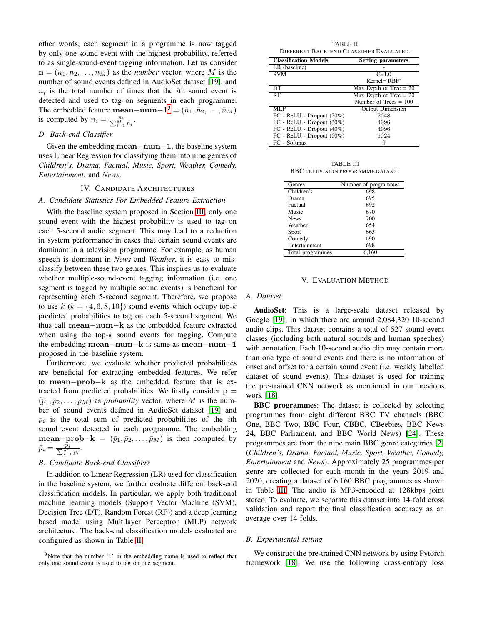other words, each segment in a programme is now tagged by only one sound event with the highest probability, referred to as single-sound-event tagging information. Let us consider  $\mathbf{n} = (n_1, n_2, \dots, n_M)$  as the *number* vector, where M is the number of sound events defined in AudioSet dataset [\[19\]](#page-4-10), and  $n_i$  is the total number of times that the *i*th sound event is detected and used to tag on segments in each programme. The embedded feature mean–num– $\mathbf{1}^3 = (\bar{n}_1, \bar{n}_2, \dots, \bar{n}_M)$  $\mathbf{1}^3 = (\bar{n}_1, \bar{n}_2, \dots, \bar{n}_M)$  $\mathbf{1}^3 = (\bar{n}_1, \bar{n}_2, \dots, \bar{n}_M)$ is computed by  $\bar{n}_i = \frac{n_i}{\sum_{i=1}^{M} n_i}$ .

# *D. Back-end Classifier*

Given the embedding mean−num−1, the baseline system uses Linear Regression for classifying them into nine genres of *Children's, Drama, Factual, Music, Sport, Weather, Comedy, Entertainment*, and *News*.

#### IV. CANDIDATE ARCHITECTURES

## *A. Candidate Statistics For Embedded Feature Extraction*

With the baseline system proposed in Section [III,](#page-1-3) only one sound event with the highest probability is used to tag on each 5-second audio segment. This may lead to a reduction in system performance in cases that certain sound events are dominant in a television programme. For example, as human speech is dominant in *News* and *Weather*, it is easy to misclassify between these two genres. This inspires us to evaluate whether multiple-sound-event tagging information (i.e. one segment is tagged by multiple sound events) is beneficial for representing each 5-second segment. Therefore, we propose to use  $k$  ( $k = \{4, 6, 8, 10\}$ ) sound events which occupy top- $k$ predicted probabilities to tag on each 5-second segment. We thus call mean−num−k as the embedded feature extracted when using the top- $k$  sound events for tagging. Compute the embedding mean−num−k is same as mean−num−1 proposed in the baseline system.

Furthermore, we evaluate whether predicted probabilities are beneficial for extracting embedded features. We refer to mean−prob−k as the embedded feature that is extracted from predicted probabilities. We firstly consider  $p =$  $(p_1, p_2, \ldots, p_M)$  as *probability* vector, where M is the number of sound events defined in AudioSet dataset [\[19\]](#page-4-10) and  $p_i$  is the total sum of predicted probabilities of the *i*th sound event detected in each programme. The embedding mean−prob−k =  $(\bar{p}_1, \bar{p}_2, \dots, \bar{p}_M)$  is then computed by  $\bar{p}_i = \frac{p_i}{\sum_{i=1}^{M} p_i}.$ 

## *B. Candidate Back-end Classifiers*

In addition to Linear Regression (LR) used for classification in the baseline system, we further evaluate different back-end classification models. In particular, we apply both traditional machine learning models (Support Vector Machine (SVM), Decision Tree (DT), Random Forest (RF)) and a deep learning based model using Multilayer Perceptron (MLP) network architecture. The back-end classification models evaluated are configured as shown in Table [II.](#page-2-1)

<span id="page-2-1"></span>

| TABLE II<br>DIFFERENT BACK-END CLASSIFIER EVALUATED. |                           |  |  |  |
|------------------------------------------------------|---------------------------|--|--|--|
| <b>Classification Models</b>                         | <b>Setting parameters</b> |  |  |  |
| LR (baseline)                                        |                           |  |  |  |
| <b>SVM</b>                                           | $C = 1.0$                 |  |  |  |
|                                                      | $Kernel='RBF'$            |  |  |  |
| DT                                                   | Max Depth of Tree $= 20$  |  |  |  |
| RF                                                   | Max Depth of Tree $= 20$  |  |  |  |
|                                                      | Number of Trees $= 100$   |  |  |  |
| MLP                                                  | <b>Output Dimension</b>   |  |  |  |
| $FC - ReLU - Dropout (20%)$                          | 2048                      |  |  |  |
| FC - ReLU - Dropout (30%)                            | 4096                      |  |  |  |
| $FC - ReLU - Dropout (40%)$                          | 4096                      |  |  |  |
| $FC - ReLU - Dropout (50%)$                          | 1024                      |  |  |  |
| FC - Softmax                                         | 9                         |  |  |  |

TABLE III BBC TELEVISION PROGRAMME DATASET

<span id="page-2-2"></span>

| Genres              | Number of programmes |
|---------------------|----------------------|
| Children's          | 698                  |
| Drama               | 695                  |
| Factual             | 692                  |
| Music               | 670                  |
| <b>News</b>         | 700                  |
| Weather             | 654                  |
| Sport               | 663                  |
| Comedy              | 690                  |
| Entertainment       | 698                  |
| programmes<br>Total | 6.160                |

## V. EVALUATION METHOD

#### *A. Dataset*

AudioSet: This is a large-scale dataset released by Google [\[19\]](#page-4-10), in which there are around 2,084,320 10-second audio clips. This dataset contains a total of 527 sound event classes (including both natural sounds and human speeches) with annotation. Each 10-second audio clip may contain more than one type of sound events and there is no information of onset and offset for a certain sound event (i.e. weakly labelled dataset of sound events). This dataset is used for training the pre-trained CNN network as mentioned in our previous work [\[18\]](#page-4-12).

BBC programmes: The dataset is collected by selecting programmes from eight different BBC TV channels (BBC One, BBC Two, BBC Four, CBBC, CBeebies, BBC News 24, BBC Parliament, and BBC World News) [\[24\]](#page-4-17). These programmes are from the nine main BBC genre categories [\[2\]](#page-4-1) (*Children's, Drama, Factual, Music, Sport, Weather, Comedy, Entertainment* and *News*). Approximately 25 programmes per genre are collected for each month in the years 2019 and 2020, creating a dataset of 6,160 BBC programmes as shown in Table [III.](#page-2-2) The audio is MP3-encoded at 128kbps joint stereo. To evaluate, we separate this dataset into 14-fold cross validation and report the final classification accuracy as an average over 14 folds.

### *B. Experimental setting*

We construct the pre-trained CNN network by using Pytorch framework [\[18\]](#page-4-12). We use the following cross-entropy loss

<span id="page-2-0"></span> $3$ Note that the number '1' in the embedding name is used to reflect that only one sound event is used to tag on one segment.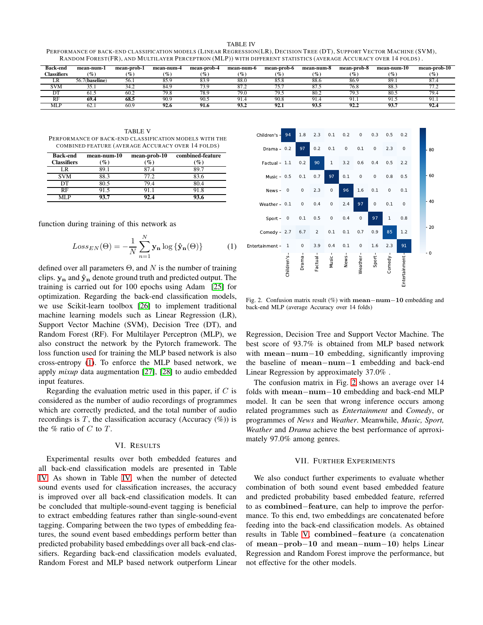<span id="page-3-1"></span>PERFORMANCE OF BACK-END CLASS IFICATION MODELS (LINEAR REGRESS ION(LR), DECIS ION TREE (DT), SUPPORT VECTOR MACHINE (SVM), RANDOM FOREST(FR), AND MULTILAYER PERCEPTRON (MLP)) WITH DIFFERENT STATISTICS (AVERAGE ACCURACY OVER 14 FOLDS) .

| <b>Back-end</b>    | mean-num-1                             | mean-prob-1 | mean-num-4      | mean-prob-4     | mean-num-6             | mean-prob-6     | mean-num-8                  | mean-prob-8 | mean-num-10     | mean-prob-10 |
|--------------------|----------------------------------------|-------------|-----------------|-----------------|------------------------|-----------------|-----------------------------|-------------|-----------------|--------------|
| <b>Tlassifiers</b> | $\left( \frac{\theta}{\theta} \right)$ | $\%$        | $\mathcal{O}_0$ | $\mathcal{G}_o$ | $\mathcal{C}_{\infty}$ | $\mathcal{O}_0$ | $\mathcal{G}_{\mathcal{O}}$ | ( $\%$      | $\mathcal{O}_0$ |              |
| LА                 | 56.7(baseline)                         | 56.1        | 85.9            | 220             | 88.0                   | 85.8            | 88.6                        | 86.9        | 89.1            |              |
| SVM                | .                                      | 34.2        | 84.9            | 73 L            | 87.2                   | ᠴᢧ<br>, , ,     |                             | 76.8        | - 88.           |              |
| nп<br>υı           | 01.2                                   | 60.2        | 79.8            | 78.9            | 79.0                   | 79.5            | 80.2                        | 79.3        | 80.5            | 79.          |
| RF                 | 69.4                                   | 68.5        | 90.9            | 90.5            | 91.4                   | 90.8            | $^{\Omega}1$<br>-. . 1      | 91.         | 91.1            |              |
| <b>MLP</b>         | 62.                                    | 60.9        | 92.6            | 91.6            | 93.2                   | 92.1            | 93.5                        | 92.2        | 93.7            | フム・マ         |

<span id="page-3-3"></span>TABLE V PERFORMANCE OF BACK-END CLASS IFICATION MODELS WITH THE COMBINED FEATURE (AVERAGE ACCURACY OVER 14 FOLDS)

| <b>Back-end</b><br><b>Classifiers</b> | mean-num-10<br>$\mathscr{G}_{\mathcal{O}}$ | mean-prob-10<br>$\%$ | combined-feature<br>$\mathscr{G}_o$ |
|---------------------------------------|--------------------------------------------|----------------------|-------------------------------------|
| `R                                    | ×9.1                                       |                      |                                     |
| <b>SVM</b>                            | 88.3                                       | 77 2.                | 83.6                                |
| DТ                                    | 30 S                                       |                      |                                     |
| РF                                    |                                            |                      |                                     |
|                                       |                                            |                      |                                     |

function during training of this network as

<span id="page-3-0"></span>
$$
Loss_{EN}(\Theta) = -\frac{1}{N} \sum_{n=1}^{N} \mathbf{y_n} \log \{\hat{\mathbf{y_n}}(\Theta)\}
$$
 (1)

defined over all parameters  $\Theta$ , and N is the number of training clips.  $y_n$  and  $\hat{y}_n$  denote ground truth and predicted output. The training is carried out for 100 epochs using Adam [\[25\]](#page-5-0) for optimization. Regarding the back-end classification models, we use Scikit-learn toolbox [\[26\]](#page-5-1) to implement traditional machine learning models such as Linear Regression (LR), Support Vector Machine (SVM), Decision Tree (DT), and Random Forest (RF). For Multilayer Perceptron (MLP), we also construct the network by the Pytorch framework. The loss function used for training the MLP based network is also cross-entropy [\(1\)](#page-3-0). To enforce the MLP based network, we apply *mixup* data augmentation [\[27\]](#page-5-2), [\[28\]](#page-5-3) to audio embedded input features.

Regarding the evaluation metric used in this paper, if  $C$  is considered as the number of audio recordings of programmes which are correctly predicted, and the total number of audio recordings is  $T$ , the classification accuracy (Accuracy  $(\%)$ ) is the  $%$  ratio of  $C$  to  $T$ .

#### VI. RESULTS

Experimental results over both embedded features and all back-end classification models are presented in Table [IV.](#page-3-1) As shown in Table [IV,](#page-3-1) when the number of detected sound events used for classification increases, the accuracy is improved over all back-end classification models. It can be concluded that multiple-sound-event tagging is beneficial to extract embedding features rather than single-sound-event tagging. Comparing between the two types of embedding features, the sound event based embeddings perform better than predicted probability based embeddings over all back-end classifiers. Regarding back-end classification models evaluated, Random Forest and MLP based network outperform Linear



<span id="page-3-2"></span>Fig. 2. Confusion matrix result (%) with mean−num−10 embedding and back-end MLP (average Accuracy over 14 folds)

Regression, Decision Tree and Support Vector Machine. The best score of 93.7% is obtained from MLP based network with mean−num−10 embedding, significantly improving the baseline of mean−num−1 embedding and back-end Linear Regression by approximately 37.0% .

The confusion matrix in Fig. [2](#page-3-2) shows an average over 14 folds with mean−num−10 embedding and back-end MLP model. It can be seen that wrong inference occurs among related programmes such as *Entertainment* and *Comedy*, or programmes of *News* and *Weather*. Meanwhile, *Music, Sport, Weather* and *Drama* achieve the best performance of aprroximately 97.0% among genres.

## VII. FURTHER EXPERIMENTS

We also conduct further experiments to evaluate whether combination of both sound event based embedded feature and predicted probability based embedded feature, referred to as combined−feature, can help to improve the performance. To this end, two embeddings are concatenated before feeding into the back-end classification models. As obtained results in Table [V,](#page-3-3) combined−feature (a concatenation of mean−prob−10 and mean−num−10) helps Linear Regression and Random Forest improve the performance, but not effective for the other models.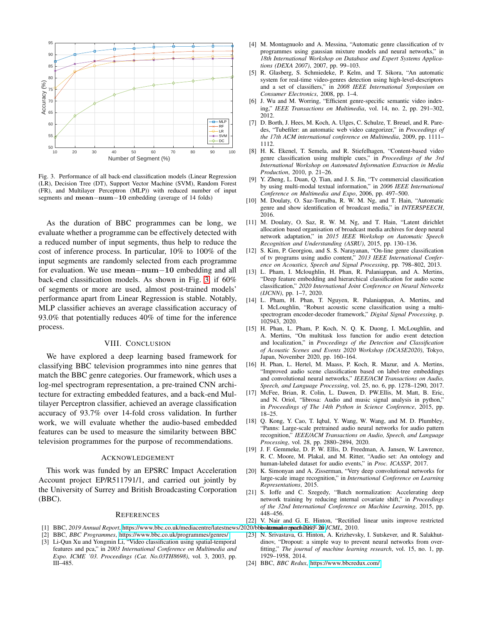

<span id="page-4-18"></span>Fig. 3. Performance of all back-end classification models (Linear Regression (LR), Decision Tree (DT), Support Vector Machine (SVM), Random Forest (FR), and Multilayer Perceptron (MLP)) with reduced number of input segments and mean−num−10 embedding (average of 14 folds)

As the duration of BBC programmes can be long, we evaluate whether a programme can be effectively detected with a reduced number of input segments, thus help to reduce the cost of inference process. In particular, 10% to 100% of the input segments are randomly selected from each programme for evaluation. We use mean−num−10 embedding and all back-end classification models. As shown in Fig. [3,](#page-4-18) if 60% of segments or more are used, almost post-trained models' performance apart from Linear Regression is stable. Notably, MLP classifier achieves an average classification accuracy of 93.0% that potentially reduces 40% of time for the inference process.

## VIII. CONCLUSION

We have explored a deep learning based framework for classifying BBC television programmes into nine genres that match the BBC genre categories. Our framework, which uses a log-mel spectrogram representation, a pre-trained CNN architecture for extracting embedded features, and a back-end Multilayer Perceptron classifier, achieved an average classification accuracy of 93.7% over 14-fold cross validation. In further work, we will evaluate whether the audio-based embedded features can be used to measure the similarity between BBC television programmes for the purpose of recommendations.

#### ACKNOWLEDGEMENT

This work was funded by an EPSRC Impact Acceleration Account project EP/R511791/1, and carried out jointly by the University of Surrey and British Broadcasting Corporation (BBC).

#### **REFERENCES**

- <span id="page-4-1"></span><span id="page-4-0"></span>[1] BBC, 2019 Annual Report, https://www.bbc.co.uk/mediacentre/latestnews/2020/bbbeattamuathrapachiles)<sup>2</sup> 20 JCML, 2010.
- <span id="page-4-2"></span>[2] BBC, *BBC Programmes*, [https://www.bbc.co.uk/programmes/genres/.](https://www.bbc.co.uk/programmes/genres/)
- [3] Li-Qun Xu and Yongmin Li, "Video classification using spatial-temporal features and pca," in *2003 International Conference on Multimedia and Expo. ICME '03. Proceedings (Cat. No.03TH8698)*, vol. 3, 2003, pp. III–485.
- [4] M. Montagnuolo and A. Messina, "Automatic genre classification of tv programmes using gaussian mixture models and neural networks," in *18th International Workshop on Database and Expert Systems Applications (DEXA 2007)*, 2007, pp. 99–103.
- <span id="page-4-6"></span>[5] R. Glasberg, S. Schmiedeke, P. Kelm, and T. Sikora, "An automatic system for real-time video-genres detection using high-level-descriptors and a set of classifiers," in *2008 IEEE International Symposium on Consumer Electronics*, 2008, pp. 1–4.
- <span id="page-4-4"></span>[6] J. Wu and M. Worring, "Efficient genre-specific semantic video indexing," *IEEE Transactions on Multimedia*, vol. 14, no. 2, pp. 291–302, 2012.
- <span id="page-4-5"></span>[7] D. Borth, J. Hees, M. Koch, A. Ulges, C. Schulze, T. Breuel, and R. Paredes, "Tubefiler: an automatic web video categorizer," in *Proceedings of the 17th ACM international conference on Multimedia*, 2009, pp. 1111– 1112.
- <span id="page-4-3"></span>[8] H. K. Ekenel, T. Semela, and R. Stiefelhagen, "Content-based video genre classification using multiple cues," in *Proceedings of the 3rd International Workshop on Automated Information Extraction in Media Production*, 2010, p. 21–26.
- <span id="page-4-7"></span>[9] Y. Zheng, L. Duan, Q. Tian, and J. S. Jin, "Tv commercial classification by using multi-modal textual information," in *2006 IEEE International Conference on Multimedia and Expo*, 2006, pp. 497–500.
- <span id="page-4-8"></span>[10] M. Doulaty, O. Saz-Torralba, R. W. M. Ng, and T. Hain, "Automatic genre and show identification of broadcast media," in *INTERSPEECH*, 2016.
- [11] M. Doulaty, O. Saz, R. W. M. Ng, and T. Hain, "Latent dirichlet allocation based organisation of broadcast media archives for deep neural network adaptation," in *2015 IEEE Workshop on Automatic Speech Recognition and Understanding (ASRU)*, 2015, pp. 130–136.
- <span id="page-4-9"></span>[12] S. Kim, P. Georgiou, and S. S. Narayanan, "On-line genre classification of tv programs using audio content," *2013 IEEE International Conference on Acoustics, Speech and Signal Processing*, pp. 798–802, 2013.
- [13] L. Pham, I. Mcloughlin, H. Phan, R. Palaniappan, and A. Mertins, "Deep feature embedding and hierarchical classification for audio scene classification," *2020 International Joint Conference on Neural Networks (IJCNN)*, pp. 1–7, 2020.
- [14] L. Pham, H. Phan, T. Nguyen, R. Palaniappan, A. Mertins, and I. McLoughlin, "Robust acoustic scene classification using a multispectrogram encoder-decoder framework," *Digital Signal Processing*, p. 102943, 2020.
- [15] H. Phan, L. Pham, P. Koch, N. Q. K. Duong, I. McLoughlin, and A. Mertins, "On multitask loss function for audio event detection and localization," in *Proceedings of the Detection and Classification of Acoustic Scenes and Events 2020 Workshop (DCASE2020)*, Tokyo, Japan, November 2020, pp. 160–164.
- [16] H. Phan, L. Hertel, M. Maass, P. Koch, R. Mazur, and A. Mertins, "Improved audio scene classification based on label-tree embeddings and convolutional neural networks," *IEEE/ACM Transactions on Audio, Speech, and Language Processing*, vol. 25, no. 6, pp. 1278–1290, 2017.
- <span id="page-4-11"></span>[17] McFee, Brian, R. Colin, L. Dawen, D. PW.Ellis, M. Matt, B. Eric, and N. Oriol, "librosa: Audio and music signal analysis in python," in *Proceedings of The 14th Python in Science Conference*, 2015, pp. 18–25.
- <span id="page-4-12"></span>[18] Q. Kong, Y. Cao, T. Iqbal, Y. Wang, W. Wang, and M. D. Plumbley, "Panns: Large-scale pretrained audio neural networks for audio pattern recognition," *IEEE/ACM Transactions on Audio, Speech, and Language Processing*, vol. 28, pp. 2880–2894, 2020.
- <span id="page-4-10"></span>[19] J. F. Gemmeke, D. P. W. Ellis, D. Freedman, A. Jansen, W. Lawrence, R. C. Moore, M. Plakal, and M. Ritter, "Audio set: An ontology and human-labeled dataset for audio events," in *Proc. ICASSP*, 2017.
- <span id="page-4-13"></span>[20] K. Simonyan and A. Zisserman, "Very deep convolutional networks for large-scale image recognition," in *International Conference on Learning Representations*, 2015.
- <span id="page-4-14"></span>[21] S. Ioffe and C. Szegedy, "Batch normalization: Accelerating deep network training by reducing internal covariate shift," in *Proceedings of the 32nd International Conference on Machine Learning*, 2015, pp. 448–456.
- <span id="page-4-15"></span>[22] V. Nair and G. E. Hinton, "Rectified linear units improve restricted
- <span id="page-4-16"></span>[23] N. Srivastava, G. Hinton, A. Krizhevsky, I. Sutskever, and R. Salakhutdinov, "Dropout: a simple way to prevent neural networks from overfitting," *The journal of machine learning research*, vol. 15, no. 1, pp. 1929–1958, 2014.
- <span id="page-4-17"></span>[24] BBC, *BBC Redux*, [https://www.bbcredux.com/.](https://www.bbcredux.com/)